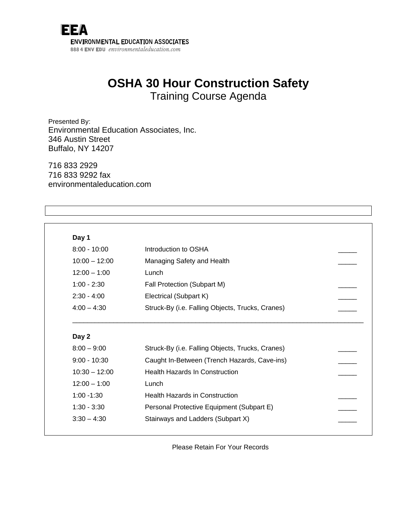

## **OSHA 30 Hour Construction Safety**  Training Course Agenda

Presented By: Environmental Education Associates, Inc. 346 Austin Street Buffalo, NY 14207

716 833 2929 716 833 9292 fax environmentaleducation.com

| Day 1                            |                                                  |  |
|----------------------------------|--------------------------------------------------|--|
| $8:00 - 10:00$                   | Introduction to OSHA                             |  |
| $10:00 - 12:00$                  | Managing Safety and Health                       |  |
| $12:00 - 1:00$                   | Lunch                                            |  |
| $1:00 - 2:30$                    | Fall Protection (Subpart M)                      |  |
| $2:30 - 4:00$                    | Electrical (Subpart K)                           |  |
| $4:00 - 4:30$                    | Struck-By (i.e. Falling Objects, Trucks, Cranes) |  |
|                                  |                                                  |  |
| Day 2                            |                                                  |  |
| $8:00 - 9:00$                    | Struck-By (i.e. Falling Objects, Trucks, Cranes) |  |
|                                  | Caught In-Between (Trench Hazards, Cave-ins)     |  |
| $10:30 - 12:00$                  | <b>Health Hazards In Construction</b>            |  |
| $9:00 - 10:30$<br>$12:00 - 1:00$ | Lunch                                            |  |
| $1:00 - 1:30$                    | <b>Health Hazards in Construction</b>            |  |
| $1:30 - 3:30$                    | Personal Protective Equipment (Subpart E)        |  |

Please Retain For Your Records